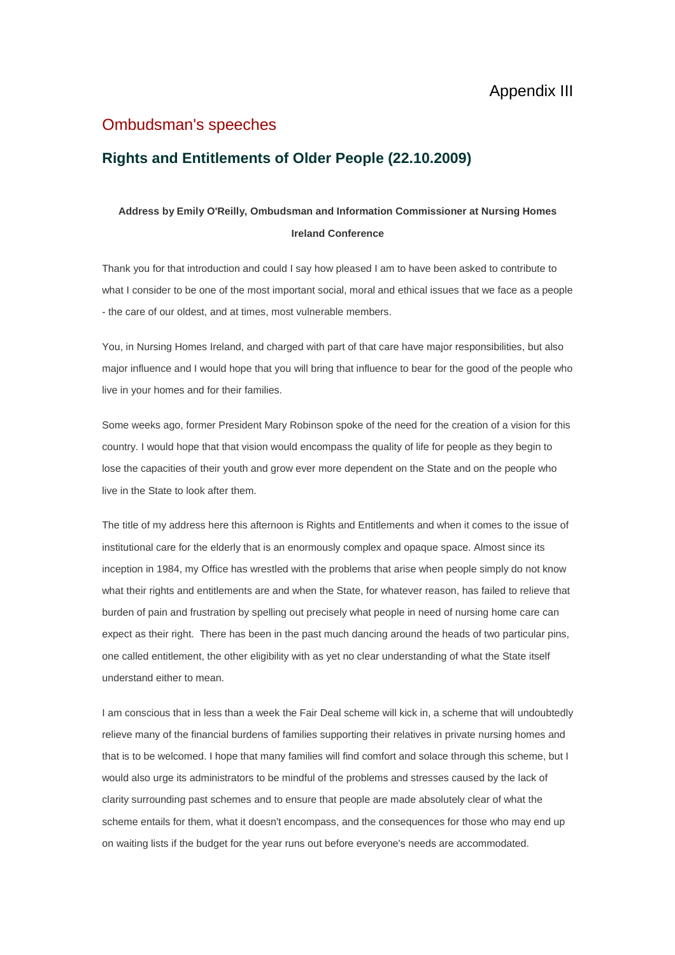## Ombudsman's speeches

## **Rights and Entitlements of Older People (22.10.2009)**

## **Address by Emily O'Reilly, Ombudsman and Information Commissioner at Nursing Homes Ireland Conference**

Thank you for that introduction and could I say how pleased I am to have been asked to contribute to what I consider to be one of the most important social, moral and ethical issues that we face as a people - the care of our oldest, and at times, most vulnerable members.

You, in Nursing Homes Ireland, and charged with part of that care have major responsibilities, but also major influence and I would hope that you will bring that influence to bear for the good of the people who live in your homes and for their families.

Some weeks ago, former President Mary Robinson spoke of the need for the creation of a vision for this country. I would hope that that vision would encompass the quality of life for people as they begin to lose the capacities of their youth and grow ever more dependent on the State and on the people who live in the State to look after them.

The title of my address here this afternoon is Rights and Entitlements and when it comes to the issue of institutional care for the elderly that is an enormously complex and opaque space. Almost since its inception in 1984, my Office has wrestled with the problems that arise when people simply do not know what their rights and entitlements are and when the State, for whatever reason, has failed to relieve that burden of pain and frustration by spelling out precisely what people in need of nursing home care can expect as their right. There has been in the past much dancing around the heads of two particular pins, one called entitlement, the other eligibility with as yet no clear understanding of what the State itself understand either to mean.

I am conscious that in less than a week the Fair Deal scheme will kick in, a scheme that will undoubtedly relieve many of the financial burdens of families supporting their relatives in private nursing homes and that is to be welcomed. I hope that many families will find comfort and solace through this scheme, but I would also urge its administrators to be mindful of the problems and stresses caused by the lack of clarity surrounding past schemes and to ensure that people are made absolutely clear of what the scheme entails for them, what it doesn't encompass, and the consequences for those who may end up on waiting lists if the budget for the year runs out before everyone's needs are accommodated.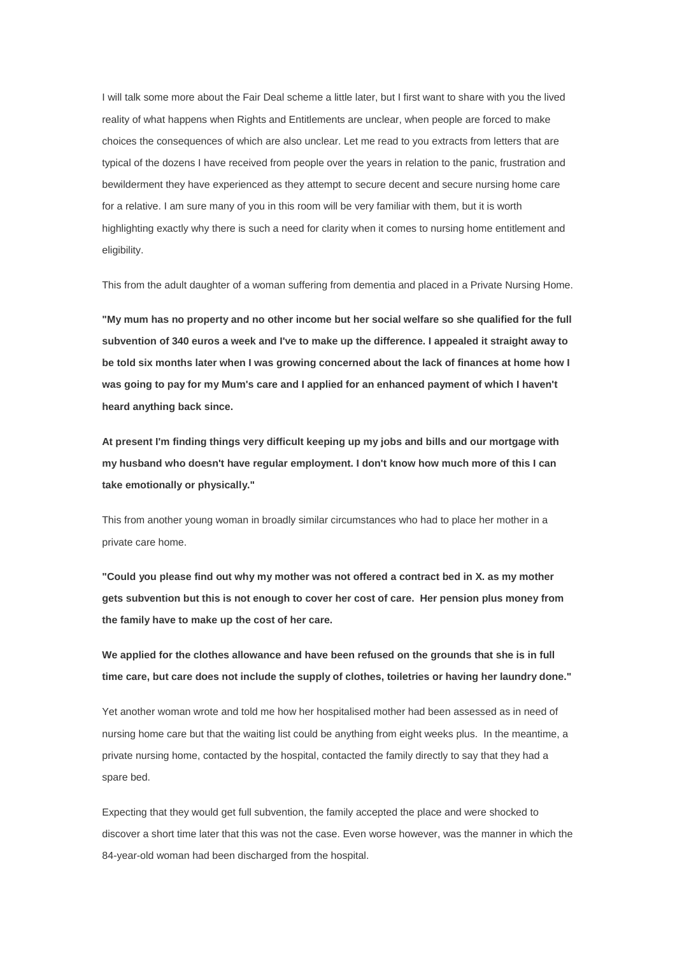I will talk some more about the Fair Deal scheme a little later, but I first want to share with you the lived reality of what happens when Rights and Entitlements are unclear, when people are forced to make choices the consequences of which are also unclear. Let me read to you extracts from letters that are typical of the dozens I have received from people over the years in relation to the panic, frustration and bewilderment they have experienced as they attempt to secure decent and secure nursing home care for a relative. I am sure many of you in this room will be very familiar with them, but it is worth highlighting exactly why there is such a need for clarity when it comes to nursing home entitlement and eligibility.

This from the adult daughter of a woman suffering from dementia and placed in a Private Nursing Home.

**"My mum has no property and no other income but her social welfare so she qualified for the full subvention of 340 euros a week and I've to make up the difference. I appealed it straight away to be told six months later when I was growing concerned about the lack of finances at home how I was going to pay for my Mum's care and I applied for an enhanced payment of which I haven't heard anything back since.**

**At present I'm finding things very difficult keeping up my jobs and bills and our mortgage with my husband who doesn't have regular employment. I don't know how much more of this I can take emotionally or physically."**

This from another young woman in broadly similar circumstances who had to place her mother in a private care home.

**"Could you please find out why my mother was not offered a contract bed in X. as my mother gets subvention but this is not enough to cover her cost of care. Her pension plus money from the family have to make up the cost of her care.** 

**We applied for the clothes allowance and have been refused on the grounds that she is in full time care, but care does not include the supply of clothes, toiletries or having her laundry done."**

Yet another woman wrote and told me how her hospitalised mother had been assessed as in need of nursing home care but that the waiting list could be anything from eight weeks plus. In the meantime, a private nursing home, contacted by the hospital, contacted the family directly to say that they had a spare bed.

Expecting that they would get full subvention, the family accepted the place and were shocked to discover a short time later that this was not the case. Even worse however, was the manner in which the 84-year-old woman had been discharged from the hospital.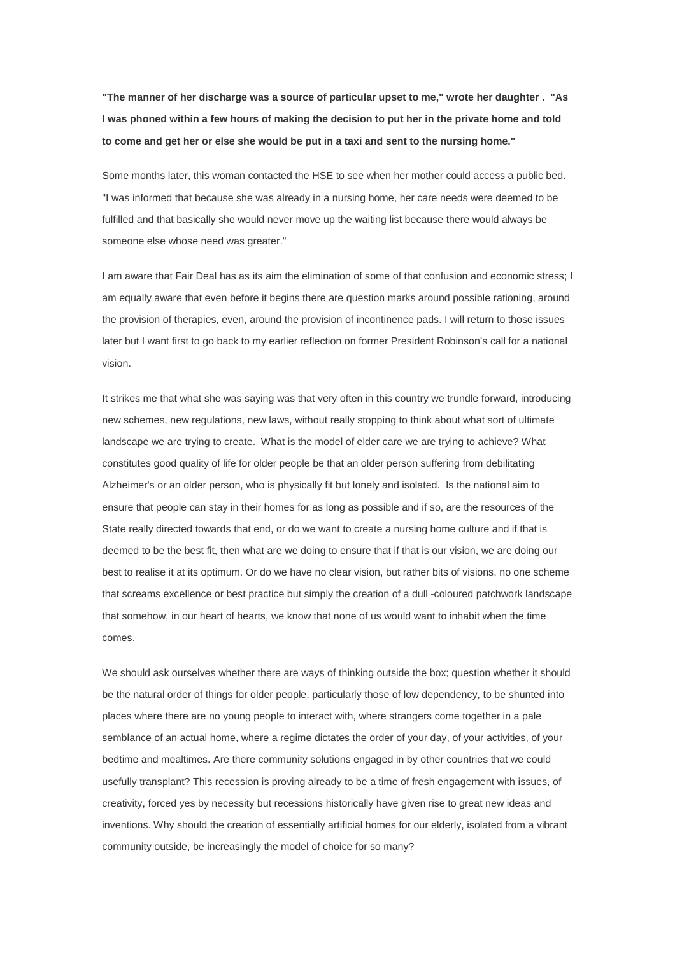**"The manner of her discharge was a source of particular upset to me," wrote her daughter . "As I was phoned within a few hours of making the decision to put her in the private home and told to come and get her or else she would be put in a taxi and sent to the nursing home."**

Some months later, this woman contacted the HSE to see when her mother could access a public bed. "I was informed that because she was already in a nursing home, her care needs were deemed to be fulfilled and that basically she would never move up the waiting list because there would always be someone else whose need was greater."

I am aware that Fair Deal has as its aim the elimination of some of that confusion and economic stress; I am equally aware that even before it begins there are question marks around possible rationing, around the provision of therapies, even, around the provision of incontinence pads. I will return to those issues later but I want first to go back to my earlier reflection on former President Robinson's call for a national vision.

It strikes me that what she was saying was that very often in this country we trundle forward, introducing new schemes, new regulations, new laws, without really stopping to think about what sort of ultimate landscape we are trying to create. What is the model of elder care we are trying to achieve? What constitutes good quality of life for older people be that an older person suffering from debilitating Alzheimer's or an older person, who is physically fit but lonely and isolated. Is the national aim to ensure that people can stay in their homes for as long as possible and if so, are the resources of the State really directed towards that end, or do we want to create a nursing home culture and if that is deemed to be the best fit, then what are we doing to ensure that if that is our vision, we are doing our best to realise it at its optimum. Or do we have no clear vision, but rather bits of visions, no one scheme that screams excellence or best practice but simply the creation of a dull -coloured patchwork landscape that somehow, in our heart of hearts, we know that none of us would want to inhabit when the time comes.

We should ask ourselves whether there are ways of thinking outside the box; question whether it should be the natural order of things for older people, particularly those of low dependency, to be shunted into places where there are no young people to interact with, where strangers come together in a pale semblance of an actual home, where a regime dictates the order of your day, of your activities, of your bedtime and mealtimes. Are there community solutions engaged in by other countries that we could usefully transplant? This recession is proving already to be a time of fresh engagement with issues, of creativity, forced yes by necessity but recessions historically have given rise to great new ideas and inventions. Why should the creation of essentially artificial homes for our elderly, isolated from a vibrant community outside, be increasingly the model of choice for so many?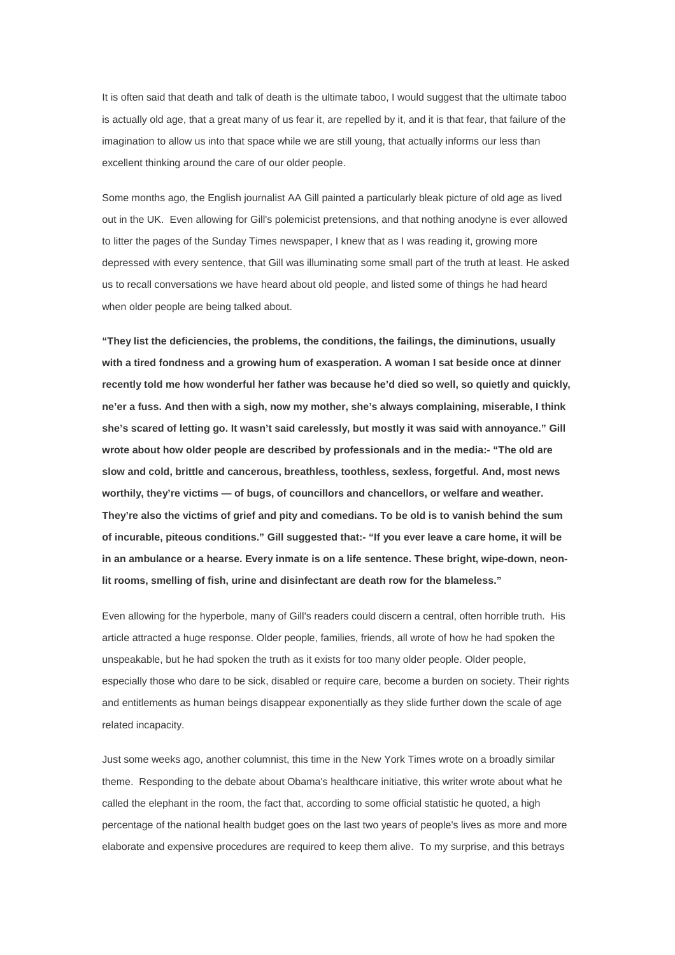It is often said that death and talk of death is the ultimate taboo, I would suggest that the ultimate taboo is actually old age, that a great many of us fear it, are repelled by it, and it is that fear, that failure of the imagination to allow us into that space while we are still young, that actually informs our less than excellent thinking around the care of our older people.

Some months ago, the English journalist AA Gill painted a particularly bleak picture of old age as lived out in the UK. Even allowing for Gill's polemicist pretensions, and that nothing anodyne is ever allowed to litter the pages of the Sunday Times newspaper, I knew that as I was reading it, growing more depressed with every sentence, that Gill was illuminating some small part of the truth at least. He asked us to recall conversations we have heard about old people, and listed some of things he had heard when older people are being talked about.

**"They list the deficiencies, the problems, the conditions, the failings, the diminutions, usually with a tired fondness and a growing hum of exasperation. A woman I sat beside once at dinner recently told me how wonderful her father was because he'd died so well, so quietly and quickly, ne'er a fuss. And then with a sigh, now my mother, she's always complaining, miserable, I think she's scared of letting go. It wasn't said carelessly, but mostly it was said with annoyance." Gill wrote about how older people are described by professionals and in the media:- "The old are slow and cold, brittle and cancerous, breathless, toothless, sexless, forgetful. And, most news worthily, they're victims — of bugs, of councillors and chancellors, or welfare and weather. They're also the victims of grief and pity and comedians. To be old is to vanish behind the sum of incurable, piteous conditions." Gill suggested that:- "If you ever leave a care home, it will be in an ambulance or a hearse. Every inmate is on a life sentence. These bright, wipe-down, neonlit rooms, smelling of fish, urine and disinfectant are death row for the blameless."**

Even allowing for the hyperbole, many of Gill's readers could discern a central, often horrible truth. His article attracted a huge response. Older people, families, friends, all wrote of how he had spoken the unspeakable, but he had spoken the truth as it exists for too many older people. Older people, especially those who dare to be sick, disabled or require care, become a burden on society. Their rights and entitlements as human beings disappear exponentially as they slide further down the scale of age related incapacity.

Just some weeks ago, another columnist, this time in the New York Times wrote on a broadly similar theme. Responding to the debate about Obama's healthcare initiative, this writer wrote about what he called the elephant in the room, the fact that, according to some official statistic he quoted, a high percentage of the national health budget goes on the last two years of people's lives as more and more elaborate and expensive procedures are required to keep them alive. To my surprise, and this betrays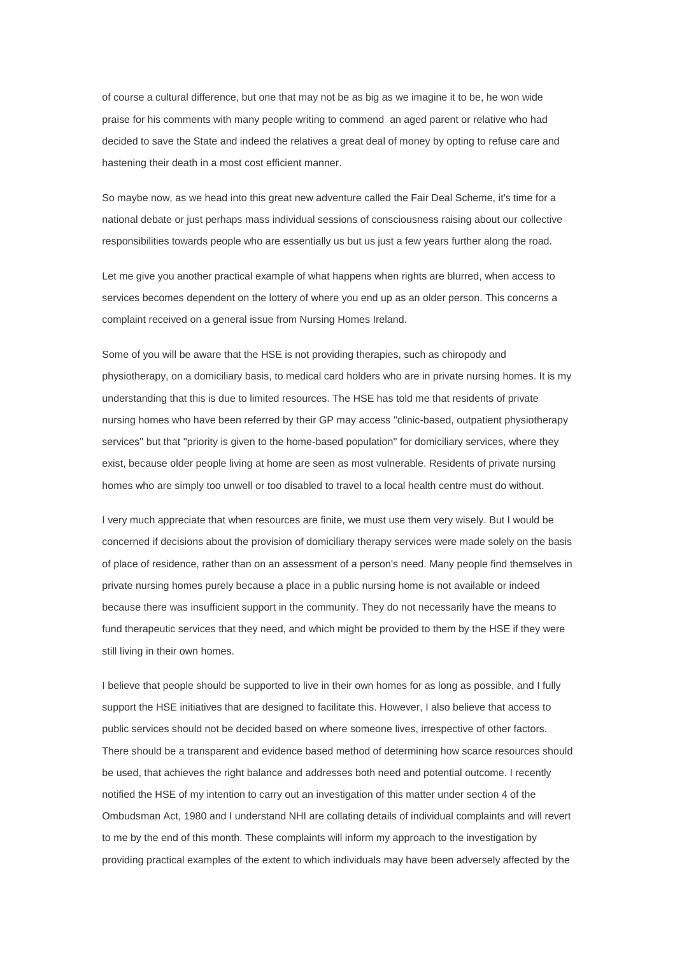of course a cultural difference, but one that may not be as big as we imagine it to be, he won wide praise for his comments with many people writing to commend an aged parent or relative who had decided to save the State and indeed the relatives a great deal of money by opting to refuse care and hastening their death in a most cost efficient manner.

So maybe now, as we head into this great new adventure called the Fair Deal Scheme, it's time for a national debate or just perhaps mass individual sessions of consciousness raising about our collective responsibilities towards people who are essentially us but us just a few years further along the road.

Let me give you another practical example of what happens when rights are blurred, when access to services becomes dependent on the lottery of where you end up as an older person. This concerns a complaint received on a general issue from Nursing Homes Ireland.

Some of you will be aware that the HSE is not providing therapies, such as chiropody and physiotherapy, on a domiciliary basis, to medical card holders who are in private nursing homes. It is my understanding that this is due to limited resources. The HSE has told me that residents of private nursing homes who have been referred by their GP may access ''clinic-based, outpatient physiotherapy services'' but that ''priority is given to the home-based population'' for domiciliary services, where they exist, because older people living at home are seen as most vulnerable. Residents of private nursing homes who are simply too unwell or too disabled to travel to a local health centre must do without.

I very much appreciate that when resources are finite, we must use them very wisely. But I would be concerned if decisions about the provision of domiciliary therapy services were made solely on the basis of place of residence, rather than on an assessment of a person's need. Many people find themselves in private nursing homes purely because a place in a public nursing home is not available or indeed because there was insufficient support in the community. They do not necessarily have the means to fund therapeutic services that they need, and which might be provided to them by the HSE if they were still living in their own homes.

I believe that people should be supported to live in their own homes for as long as possible, and I fully support the HSE initiatives that are designed to facilitate this. However, I also believe that access to public services should not be decided based on where someone lives, irrespective of other factors. There should be a transparent and evidence based method of determining how scarce resources should be used, that achieves the right balance and addresses both need and potential outcome. I recently notified the HSE of my intention to carry out an investigation of this matter under section 4 of the Ombudsman Act, 1980 and I understand NHI are collating details of individual complaints and will revert to me by the end of this month. These complaints will inform my approach to the investigation by providing practical examples of the extent to which individuals may have been adversely affected by the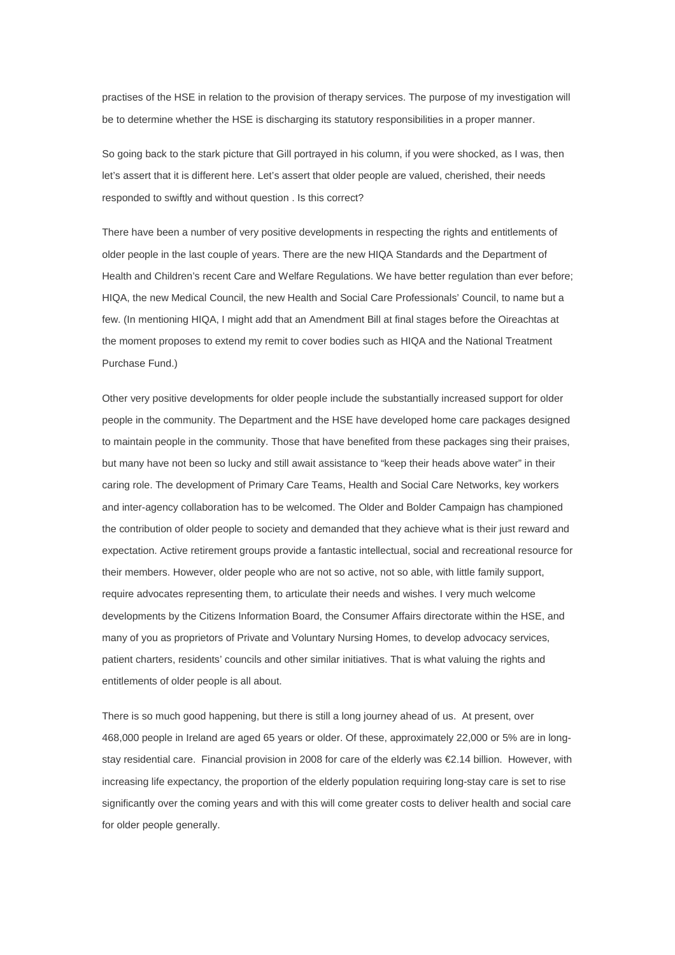practises of the HSE in relation to the provision of therapy services. The purpose of my investigation will be to determine whether the HSE is discharging its statutory responsibilities in a proper manner.

So going back to the stark picture that Gill portrayed in his column, if you were shocked, as I was, then let's assert that it is different here. Let's assert that older people are valued, cherished, their needs responded to swiftly and without question . Is this correct?

There have been a number of very positive developments in respecting the rights and entitlements of older people in the last couple of years. There are the new HIQA Standards and the Department of Health and Children's recent Care and Welfare Regulations. We have better regulation than ever before; HIQA, the new Medical Council, the new Health and Social Care Professionals' Council, to name but a few. (In mentioning HIQA, I might add that an Amendment Bill at final stages before the Oireachtas at the moment proposes to extend my remit to cover bodies such as HIQA and the National Treatment Purchase Fund.)

Other very positive developments for older people include the substantially increased support for older people in the community. The Department and the HSE have developed home care packages designed to maintain people in the community. Those that have benefited from these packages sing their praises, but many have not been so lucky and still await assistance to "keep their heads above water" in their caring role. The development of Primary Care Teams, Health and Social Care Networks, key workers and inter-agency collaboration has to be welcomed. The Older and Bolder Campaign has championed the contribution of older people to society and demanded that they achieve what is their just reward and expectation. Active retirement groups provide a fantastic intellectual, social and recreational resource for their members. However, older people who are not so active, not so able, with little family support, require advocates representing them, to articulate their needs and wishes. I very much welcome developments by the Citizens Information Board, the Consumer Affairs directorate within the HSE, and many of you as proprietors of Private and Voluntary Nursing Homes, to develop advocacy services, patient charters, residents' councils and other similar initiatives. That is what valuing the rights and entitlements of older people is all about.

There is so much good happening, but there is still a long journey ahead of us. At present, over 468,000 people in Ireland are aged 65 years or older. Of these, approximately 22,000 or 5% are in longstay residential care. Financial provision in 2008 for care of the elderly was €2.14 billion. However, with increasing life expectancy, the proportion of the elderly population requiring long-stay care is set to rise significantly over the coming years and with this will come greater costs to deliver health and social care for older people generally.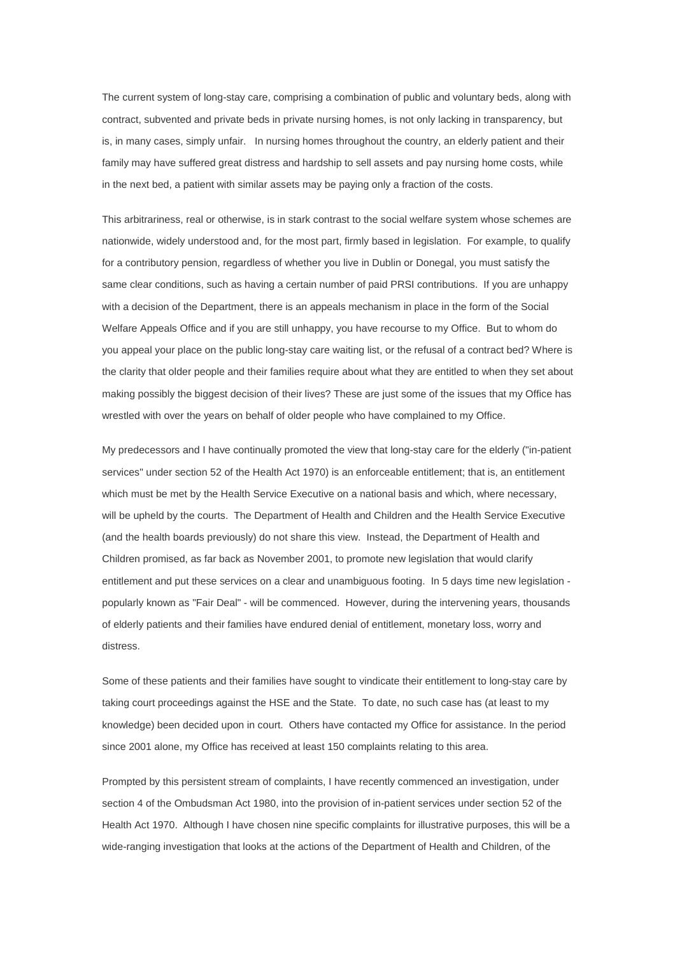The current system of long-stay care, comprising a combination of public and voluntary beds, along with contract, subvented and private beds in private nursing homes, is not only lacking in transparency, but is, in many cases, simply unfair. In nursing homes throughout the country, an elderly patient and their family may have suffered great distress and hardship to sell assets and pay nursing home costs, while in the next bed, a patient with similar assets may be paying only a fraction of the costs.

This arbitrariness, real or otherwise, is in stark contrast to the social welfare system whose schemes are nationwide, widely understood and, for the most part, firmly based in legislation. For example, to qualify for a contributory pension, regardless of whether you live in Dublin or Donegal, you must satisfy the same clear conditions, such as having a certain number of paid PRSI contributions. If you are unhappy with a decision of the Department, there is an appeals mechanism in place in the form of the Social Welfare Appeals Office and if you are still unhappy, you have recourse to my Office. But to whom do you appeal your place on the public long-stay care waiting list, or the refusal of a contract bed? Where is the clarity that older people and their families require about what they are entitled to when they set about making possibly the biggest decision of their lives? These are just some of the issues that my Office has wrestled with over the years on behalf of older people who have complained to my Office.

My predecessors and I have continually promoted the view that long-stay care for the elderly ("in-patient services" under section 52 of the Health Act 1970) is an enforceable entitlement; that is, an entitlement which must be met by the Health Service Executive on a national basis and which, where necessary, will be upheld by the courts. The Department of Health and Children and the Health Service Executive (and the health boards previously) do not share this view. Instead, the Department of Health and Children promised, as far back as November 2001, to promote new legislation that would clarify entitlement and put these services on a clear and unambiguous footing. In 5 days time new legislation popularly known as "Fair Deal" - will be commenced. However, during the intervening years, thousands of elderly patients and their families have endured denial of entitlement, monetary loss, worry and distress.

Some of these patients and their families have sought to vindicate their entitlement to long-stay care by taking court proceedings against the HSE and the State. To date, no such case has (at least to my knowledge) been decided upon in court. Others have contacted my Office for assistance. In the period since 2001 alone, my Office has received at least 150 complaints relating to this area.

Prompted by this persistent stream of complaints, I have recently commenced an investigation, under section 4 of the Ombudsman Act 1980, into the provision of in-patient services under section 52 of the Health Act 1970. Although I have chosen nine specific complaints for illustrative purposes, this will be a wide-ranging investigation that looks at the actions of the Department of Health and Children, of the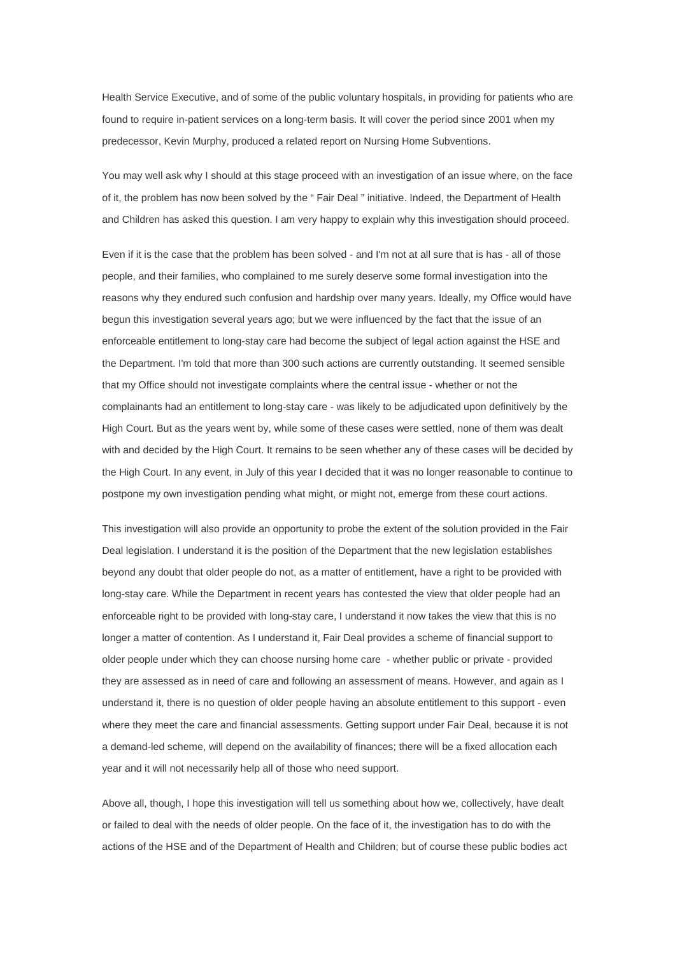Health Service Executive, and of some of the public voluntary hospitals, in providing for patients who are found to require in-patient services on a long-term basis. It will cover the period since 2001 when my predecessor, Kevin Murphy, produced a related report on Nursing Home Subventions.

You may well ask why I should at this stage proceed with an investigation of an issue where, on the face of it, the problem has now been solved by the " Fair Deal " initiative. Indeed, the Department of Health and Children has asked this question. I am very happy to explain why this investigation should proceed.

Even if it is the case that the problem has been solved - and I'm not at all sure that is has - all of those people, and their families, who complained to me surely deserve some formal investigation into the reasons why they endured such confusion and hardship over many years. Ideally, my Office would have begun this investigation several years ago; but we were influenced by the fact that the issue of an enforceable entitlement to long-stay care had become the subject of legal action against the HSE and the Department. I'm told that more than 300 such actions are currently outstanding. It seemed sensible that my Office should not investigate complaints where the central issue - whether or not the complainants had an entitlement to long-stay care - was likely to be adjudicated upon definitively by the High Court. But as the years went by, while some of these cases were settled, none of them was dealt with and decided by the High Court. It remains to be seen whether any of these cases will be decided by the High Court. In any event, in July of this year I decided that it was no longer reasonable to continue to postpone my own investigation pending what might, or might not, emerge from these court actions.

This investigation will also provide an opportunity to probe the extent of the solution provided in the Fair Deal legislation. I understand it is the position of the Department that the new legislation establishes beyond any doubt that older people do not, as a matter of entitlement, have a right to be provided with long-stay care. While the Department in recent years has contested the view that older people had an enforceable right to be provided with long-stay care, I understand it now takes the view that this is no longer a matter of contention. As I understand it, Fair Deal provides a scheme of financial support to older people under which they can choose nursing home care - whether public or private - provided they are assessed as in need of care and following an assessment of means. However, and again as I understand it, there is no question of older people having an absolute entitlement to this support - even where they meet the care and financial assessments. Getting support under Fair Deal, because it is not a demand-led scheme, will depend on the availability of finances; there will be a fixed allocation each year and it will not necessarily help all of those who need support.

Above all, though, I hope this investigation will tell us something about how we, collectively, have dealt or failed to deal with the needs of older people. On the face of it, the investigation has to do with the actions of the HSE and of the Department of Health and Children; but of course these public bodies act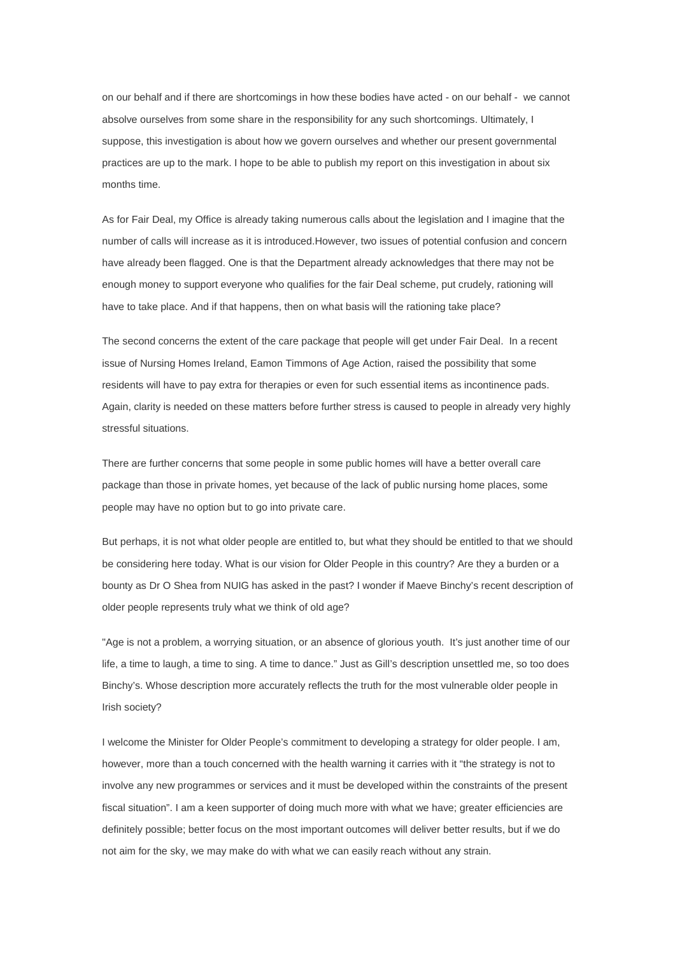on our behalf and if there are shortcomings in how these bodies have acted - on our behalf - we cannot absolve ourselves from some share in the responsibility for any such shortcomings. Ultimately, I suppose, this investigation is about how we govern ourselves and whether our present governmental practices are up to the mark. I hope to be able to publish my report on this investigation in about six months time.

As for Fair Deal, my Office is already taking numerous calls about the legislation and I imagine that the number of calls will increase as it is introduced.However, two issues of potential confusion and concern have already been flagged. One is that the Department already acknowledges that there may not be enough money to support everyone who qualifies for the fair Deal scheme, put crudely, rationing will have to take place. And if that happens, then on what basis will the rationing take place?

The second concerns the extent of the care package that people will get under Fair Deal. In a recent issue of Nursing Homes Ireland, Eamon Timmons of Age Action, raised the possibility that some residents will have to pay extra for therapies or even for such essential items as incontinence pads. Again, clarity is needed on these matters before further stress is caused to people in already very highly stressful situations.

There are further concerns that some people in some public homes will have a better overall care package than those in private homes, yet because of the lack of public nursing home places, some people may have no option but to go into private care.

But perhaps, it is not what older people are entitled to, but what they should be entitled to that we should be considering here today. What is our vision for Older People in this country? Are they a burden or a bounty as Dr O Shea from NUIG has asked in the past? I wonder if Maeve Binchy's recent description of older people represents truly what we think of old age?

"Age is not a problem, a worrying situation, or an absence of glorious youth. It's just another time of our life, a time to laugh, a time to sing. A time to dance." Just as Gill's description unsettled me, so too does Binchy's. Whose description more accurately reflects the truth for the most vulnerable older people in Irish society?

I welcome the Minister for Older People's commitment to developing a strategy for older people. I am, however, more than a touch concerned with the health warning it carries with it "the strategy is not to involve any new programmes or services and it must be developed within the constraints of the present fiscal situation". I am a keen supporter of doing much more with what we have; greater efficiencies are definitely possible; better focus on the most important outcomes will deliver better results, but if we do not aim for the sky, we may make do with what we can easily reach without any strain.